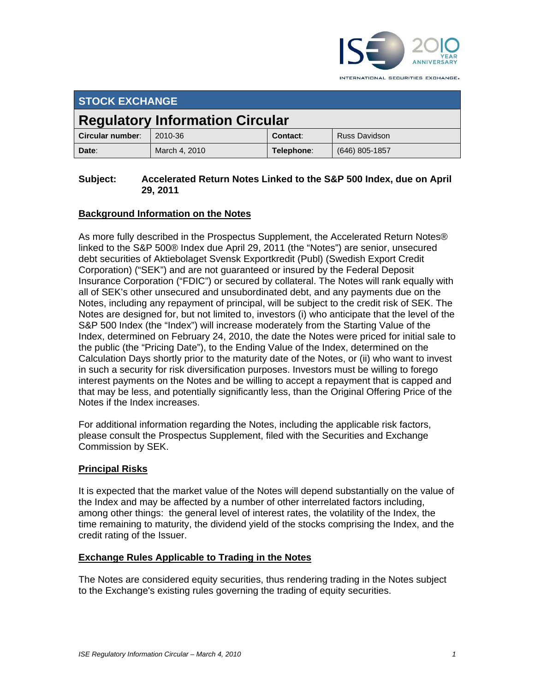

INTERNATIONAL SECURITIES EXCHANGE.

| <b>STOCK EXCHANGE</b>                  |               |            |                      |
|----------------------------------------|---------------|------------|----------------------|
| <b>Regulatory Information Circular</b> |               |            |                      |
| Circular number:                       | 2010-36       | Contact:   | <b>Russ Davidson</b> |
| Date:                                  | March 4, 2010 | Telephone: | $(646)$ 805-1857     |

#### **Subject: Accelerated Return Notes Linked to the S&P 500 Index, due on April 29, 2011**

# **Background Information on the Notes**

As more fully described in the Prospectus Supplement, the Accelerated Return Notes® linked to the S&P 500® Index due April 29, 2011 (the "Notes") are senior, unsecured debt securities of Aktiebolaget Svensk Exportkredit (Publ) (Swedish Export Credit Corporation) ("SEK") and are not guaranteed or insured by the Federal Deposit Insurance Corporation ("FDIC") or secured by collateral. The Notes will rank equally with all of SEK's other unsecured and unsubordinated debt, and any payments due on the Notes, including any repayment of principal, will be subject to the credit risk of SEK. The Notes are designed for, but not limited to, investors (i) who anticipate that the level of the S&P 500 Index (the "Index") will increase moderately from the Starting Value of the Index, determined on February 24, 2010, the date the Notes were priced for initial sale to the public (the "Pricing Date"), to the Ending Value of the Index, determined on the Calculation Days shortly prior to the maturity date of the Notes, or (ii) who want to invest in such a security for risk diversification purposes. Investors must be willing to forego interest payments on the Notes and be willing to accept a repayment that is capped and that may be less, and potentially significantly less, than the Original Offering Price of the Notes if the Index increases.

For additional information regarding the Notes, including the applicable risk factors, please consult the Prospectus Supplement, filed with the Securities and Exchange Commission by SEK.

# **Principal Risks**

It is expected that the market value of the Notes will depend substantially on the value of the Index and may be affected by a number of other interrelated factors including, among other things: the general level of interest rates, the volatility of the Index, the time remaining to maturity, the dividend yield of the stocks comprising the Index, and the credit rating of the Issuer.

# **Exchange Rules Applicable to Trading in the Notes**

The Notes are considered equity securities, thus rendering trading in the Notes subject to the Exchange's existing rules governing the trading of equity securities.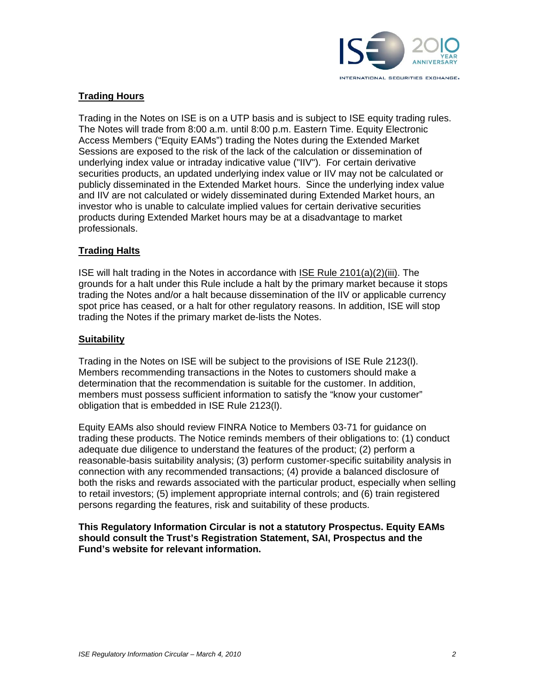

#### **Trading Hours**

Trading in the Notes on ISE is on a UTP basis and is subject to ISE equity trading rules. The Notes will trade from 8:00 a.m. until 8:00 p.m. Eastern Time. Equity Electronic Access Members ("Equity EAMs") trading the Notes during the Extended Market Sessions are exposed to the risk of the lack of the calculation or dissemination of underlying index value or intraday indicative value ("IIV"). For certain derivative securities products, an updated underlying index value or IIV may not be calculated or publicly disseminated in the Extended Market hours. Since the underlying index value and IIV are not calculated or widely disseminated during Extended Market hours, an investor who is unable to calculate implied values for certain derivative securities products during Extended Market hours may be at a disadvantage to market professionals.

#### **Trading Halts**

ISE will halt trading in the Notes in accordance with ISE Rule 2101(a)(2)(iii). The grounds for a halt under this Rule include a halt by the primary market because it stops trading the Notes and/or a halt because dissemination of the IIV or applicable currency spot price has ceased, or a halt for other regulatory reasons. In addition, ISE will stop trading the Notes if the primary market de-lists the Notes.

#### **Suitability**

Trading in the Notes on ISE will be subject to the provisions of ISE Rule 2123(l). Members recommending transactions in the Notes to customers should make a determination that the recommendation is suitable for the customer. In addition, members must possess sufficient information to satisfy the "know your customer" obligation that is embedded in ISE Rule 2123(l).

Equity EAMs also should review FINRA Notice to Members 03-71 for guidance on trading these products. The Notice reminds members of their obligations to: (1) conduct adequate due diligence to understand the features of the product; (2) perform a reasonable-basis suitability analysis; (3) perform customer-specific suitability analysis in connection with any recommended transactions; (4) provide a balanced disclosure of both the risks and rewards associated with the particular product, especially when selling to retail investors; (5) implement appropriate internal controls; and (6) train registered persons regarding the features, risk and suitability of these products.

**This Regulatory Information Circular is not a statutory Prospectus. Equity EAMs should consult the Trust's Registration Statement, SAI, Prospectus and the Fund's website for relevant information.**